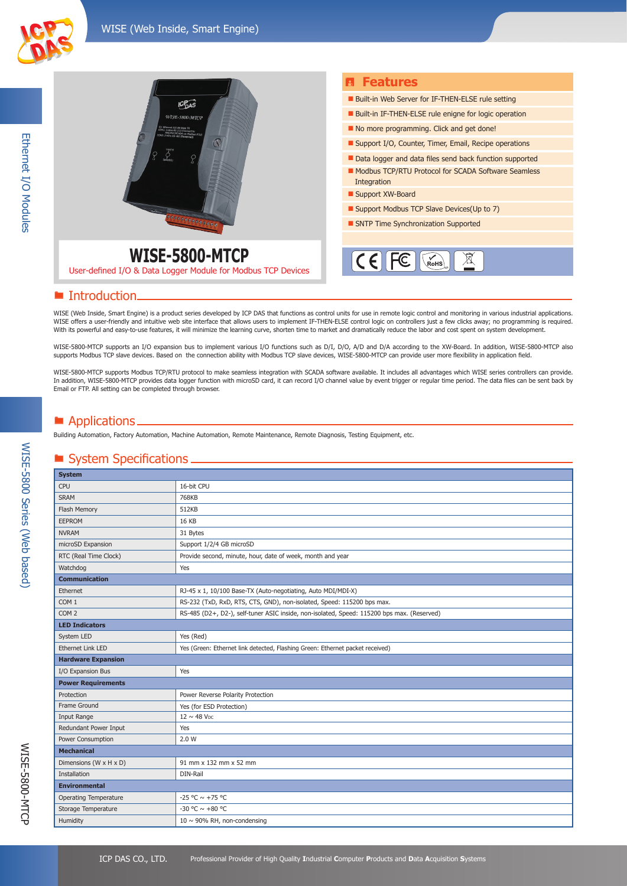

|                                                                                | <b>B</b> Features                                                  |
|--------------------------------------------------------------------------------|--------------------------------------------------------------------|
| 10 <sub>DA</sub>                                                               | <b>Built-in Web Server for IF-THEN-ELSE rule setting</b>           |
| <b>WISE-5800-MTOP</b><br>GENGEREERAFEER                                        | Built-in IF-THEN-ELSE rule enigne for logic operation              |
|                                                                                | No more programming. Click and get done!                           |
|                                                                                | Support I/O, Counter, Timer, Email, Recipe operations              |
|                                                                                | Data logger and data files send back function supported            |
|                                                                                | Modbus TCP/RTU Protocol for SCADA Software Seamless<br>Integration |
|                                                                                | Support XW-Board                                                   |
|                                                                                | Support Modbus TCP Slave Devices (Up to 7)                         |
|                                                                                | SNTP Time Synchronization Supported                                |
|                                                                                |                                                                    |
| WISE-5800-MTCP<br>User-defined I/O & Data Logger Module for Modbus TCP Devices | $\epsilon$<br>$\chi_{\mathsf{R}\mathsf{O}\mathsf{H}\mathsf{S}}$    |

#### **E** Introduction.

WISE (Web Inside, Smart Engine) is a product series developed by ICP DAS that functions as control units for use in remote logic control and monitoring in various industrial applications. WISE offers a user-friendly and intuitive web site interface that allows users to implement IF-THEN-ELSE control logic on controllers just a few clicks away; no programming is required. With its powerful and easy-to-use features, it will minimize the learning curve, shorten time to market and dramatically reduce the labor and cost spent on system development.

WISE-5800-MTCP supports an I/O expansion bus to implement various I/O functions such as D/I, D/O, A/D and D/A according to the XW-Board. In addition, WISE-5800-MTCP also supports Modbus TCP slave devices. Based on the connection ability with Modbus TCP slave devices, WISE-5800-MTCP can provide user more flexibility in application field.

WISE-5800-MTCP supports Modbus TCP/RTU protocol to make seamless integration with SCADA software available. It includes all advantages which WISE series controllers can provide. In addition, WISE-5800-MTCP provides data logger function with microSD card, it can record I/O channel value by event trigger or regular time period. The data files can be sent back by Email or FTP. All setting can be completed through browser.

### $\blacksquare$  Applications.

Building Automation, Factory Automation, Machine Automation, Remote Maintenance, Remote Diagnosis, Testing Equipment, etc.

### **System Specifications.**

| <b>System</b>                |                                                                                            |  |
|------------------------------|--------------------------------------------------------------------------------------------|--|
| <b>CPU</b>                   | 16-bit CPU                                                                                 |  |
| <b>SRAM</b>                  | 768KB                                                                                      |  |
| Flash Memory                 | 512KB                                                                                      |  |
| <b>EEPROM</b>                | 16 KB                                                                                      |  |
| <b>NVRAM</b>                 | 31 Bytes                                                                                   |  |
| microSD Expansion            | Support 1/2/4 GB microSD                                                                   |  |
| RTC (Real Time Clock)        | Provide second, minute, hour, date of week, month and year                                 |  |
| Watchdog                     | Yes                                                                                        |  |
| <b>Communication</b>         |                                                                                            |  |
| Ethernet                     | RJ-45 x 1, 10/100 Base-TX (Auto-negotiating, Auto MDI/MDI-X)                               |  |
| COM <sub>1</sub>             | RS-232 (TxD, RxD, RTS, CTS, GND), non-isolated, Speed: 115200 bps max.                     |  |
| COM <sub>2</sub>             | RS-485 (D2+, D2-), self-tuner ASIC inside, non-isolated, Speed: 115200 bps max. (Reserved) |  |
| <b>LED Indicators</b>        |                                                                                            |  |
| System LED                   | Yes (Red)                                                                                  |  |
| <b>Ethernet Link LED</b>     | Yes (Green: Ethernet link detected, Flashing Green: Ethernet packet received)              |  |
| <b>Hardware Expansion</b>    |                                                                                            |  |
| I/O Expansion Bus            | Yes                                                                                        |  |
| <b>Power Requirements</b>    |                                                                                            |  |
| Protection                   | Power Reverse Polarity Protection                                                          |  |
| Frame Ground                 | Yes (for ESD Protection)                                                                   |  |
| Input Range                  | $12 \sim 48$ V <sub>DC</sub>                                                               |  |
| Redundant Power Input        | Yes                                                                                        |  |
| Power Consumption            | 2.0 W                                                                                      |  |
| <b>Mechanical</b>            |                                                                                            |  |
| Dimensions (W x H x D)       | 91 mm x 132 mm x 52 mm                                                                     |  |
| Installation                 | DIN-Rail                                                                                   |  |
| <b>Environmental</b>         |                                                                                            |  |
| <b>Operating Temperature</b> | -25 °C $\sim$ +75 °C                                                                       |  |
| Storage Temperature          | -30 °C $\sim$ +80 °C                                                                       |  |
| Humidity                     | $10 \sim 90\%$ RH, non-condensing                                                          |  |